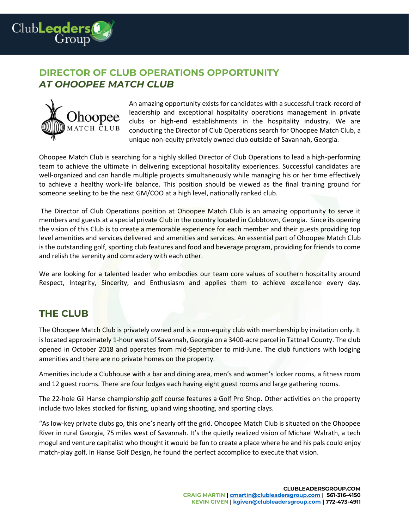

# **DIRECTOR OF CLUB OPERATIONS OPPORTUNITY**  *AT OHOOPEE MATCH CLUB*



An amazing opportunity exists for candidates with a successful track-record of leadership and exceptional hospitality operations management in private clubs or high-end establishments in the hospitality industry. We are conducting the Director of Club Operations search for Ohoopee Match Club, a unique non-equity privately owned club outside of Savannah, Georgia.

Ohoopee Match Club is searching for a highly skilled Director of Club Operations to lead a high-performing team to achieve the ultimate in delivering exceptional hospitality experiences. Successful candidates are well-organized and can handle multiple projects simultaneously while managing his or her time effectively to achieve a healthy work-life balance. This position should be viewed as the final training ground for someone seeking to be the next GM/COO at a high level, nationally ranked club.

The Director of Club Operations position at Ohoopee Match Club is an amazing opportunity to serve it members and guests at a special private Club in the country located in Cobbtown, Georgia. Since its opening the vision of this Club is to create a memorable experience for each member and their guests providing top level amenities and services delivered and amenities and services. An essential part of Ohoopee Match Club is the outstanding golf, sporting club features and food and beverage program, providing for friends to come and relish the serenity and comradery with each other.

We are looking for a talented leader who embodies our team core values of southern hospitality around Respect, Integrity, Sincerity, and Enthusiasm and applies them to achieve excellence every day.

#### **THE CLUB**

The Ohoopee Match Club is privately owned and is a non-equity club with membership by invitation only. It is located approximately 1-hour west of Savannah, Georgia on a 3400-acre parcel in Tattnall County. The club opened in October 2018 and operates from mid-September to mid-June. The club functions with lodging amenities and there are no private homes on the property.

Amenities include a Clubhouse with a bar and dining area, men's and women's locker rooms, a fitness room and 12 guest rooms. There are four lodges each having eight guest rooms and large gathering rooms.

The 22-hole Gil Hanse championship golf course features a Golf Pro Shop. Other activities on the property include two lakes stocked for fishing, upland wing shooting, and sporting clays.

"As low-key private clubs go, this one's nearly off the grid. Ohoopee Match Club is situated on the Ohoopee River in rural Georgia, 75 miles west of Savannah. It's the quietly realized vision of Michael Walrath, a tech mogul and venture capitalist who thought it would be fun to create a place where he and his pals could enjoy match-play golf. In Hanse Golf Design, he found the perfect accomplice to execute that vision.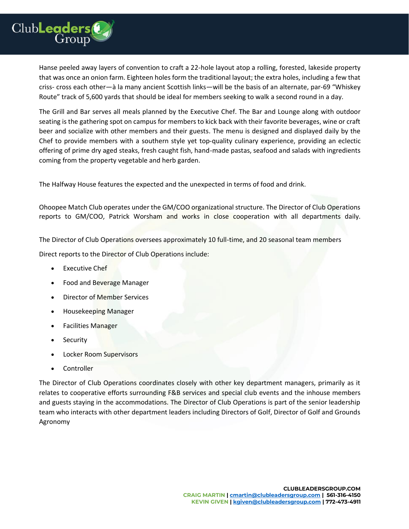

Hanse peeled away layers of convention to craft a 22-hole layout atop a rolling, forested, lakeside property that was once an onion farm. Eighteen holes form the traditional layout; the extra holes, including a few that criss- cross each other—à la many ancient Scottish links—will be the basis of an alternate, par-69 "Whiskey Route" track of 5,600 yards that should be ideal for members seeking to walk a second round in a day.

The Grill and Bar serves all meals planned by the Executive Chef. The Bar and Lounge along with outdoor seating is the gathering spot on campus for members to kick back with their favorite beverages, wine or craft beer and socialize with other members and their guests. The menu is designed and displayed daily by the Chef to provide members with a southern style yet top-quality culinary experience, providing an eclectic offering of prime dry aged steaks, fresh caught fish, hand-made pastas, seafood and salads with ingredients coming from the property vegetable and herb garden.

The Halfway House features the expected and the unexpected in terms of food and drink.

Ohoopee Match Club operates under the GM/COO organizational structure. The Director of Club Operations reports to GM/COO, Patrick Worsham and works in close cooperation with all departments daily.

The Director of Club Operations oversees approximately 10 full-time, and 20 seasonal team members

Direct reports to the Director of Club Operations include:

- **Executive Chef**
- Food and Beverage Manager
- Director of Member Services
- Housekeeping Manager
- Facilities Manager
- Security
- Locker Room Supervisors
- **Controller**

The Director of Club Operations coordinates closely with other key department managers, primarily as it relates to cooperative efforts surrounding F&B services and special club events and the inhouse members and guests staying in the accommodations. The Director of Club Operations is part of the senior leadership team who interacts with other department leaders including Directors of Golf, Director of Golf and Grounds Agronomy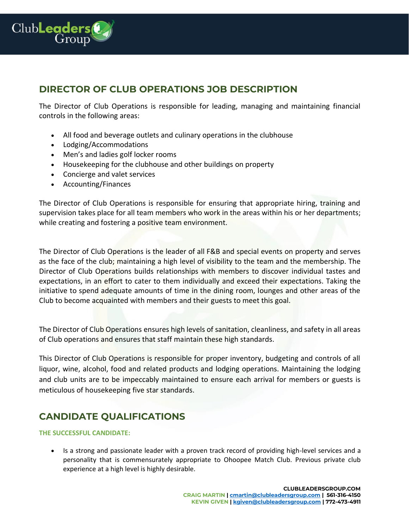

#### **DIRECTOR OF CLUB OPERATIONS JOB DESCRIPTION**

The Director of Club Operations is responsible for leading, managing and maintaining financial controls in the following areas:

- All food and beverage outlets and culinary operations in the clubhouse
- Lodging/Accommodations
- Men's and ladies golf locker rooms
- Housekeeping for the clubhouse and other buildings on property
- Concierge and valet services
- Accounting/Finances

The Director of Club Operations is responsible for ensuring that appropriate hiring, training and supervision takes place for all team members who work in the areas within his or her departments; while creating and fostering a positive team environment.

The Director of Club Operations is the leader of all F&B and special events on property and serves as the face of the club; maintaining a high level of visibility to the team and the membership. The Director of Club Operations builds relationships with members to discover individual tastes and expectations, in an effort to cater to them individually and exceed their expectations. Taking the initiative to spend adequate amounts of time in the dining room, lounges and other areas of the Club to become acquainted with members and their guests to meet this goal.

The Director of Club Operations ensures high levels of sanitation, cleanliness, and safety in all areas of Club operations and ensures that staff maintain these high standards.

This Director of Club Operations is responsible for proper inventory, budgeting and controls of all liquor, wine, alcohol, food and related products and lodging operations. Maintaining the lodging and club units are to be impeccably maintained to ensure each arrival for members or guests is meticulous of housekeeping five star standards.

## **CANDIDATE QUALIFICATIONS**

#### **THE SUCCESSFUL CANDIDATE:**

• Is a strong and passionate leader with a proven track record of providing high-level services and a personality that is commensurately appropriate to Ohoopee Match Club. Previous private club experience at a high level is highly desirable.